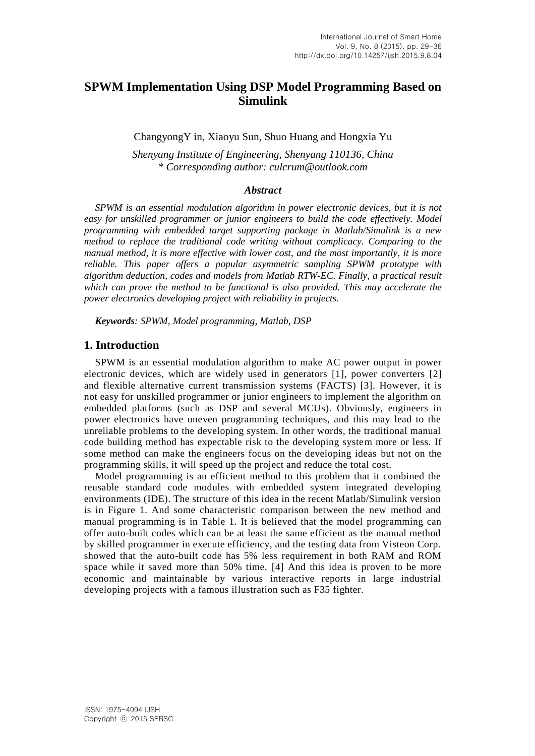# **SPWM Implementation Using DSP Model Programming Based on Simulink**

ChangyongY in, Xiaoyu Sun, Shuo Huang and Hongxia Yu

*Shenyang Institute of Engineering, Shenyang 110136, China \* Corresponding author: culcrum@outlook.com*

#### *Abstract*

*SPWM is an essential modulation algorithm in power electronic devices, but it is not easy for unskilled programmer or junior engineers to build the code effectively. Model programming with embedded target supporting package in Matlab/Simulink is a new method to replace the traditional code writing without complicacy. Comparing to the manual method, it is more effective with lower cost, and the most importantly, it is more reliable. This paper offers a popular asymmetric sampling SPWM prototype with algorithm deduction, codes and models from Matlab RTW-EC. Finally, a practical result which can prove the method to be functional is also provided. This may accelerate the power electronics developing project with reliability in projects.*

*Keywords: SPWM, Model programming, Matlab, DSP*

#### **1. Introduction**

SPWM is an essential modulation algorithm to make AC power output in power electronic devices, which are widely used in generators [\[1\]](Two-phase#_ENREF_1), power converters [\[2\]](Modeling#_ENREF_2) and flexible alternative current transmission systems (FACTS) [\[3\]](A#_ENREF_3). However, it is not easy for unskilled programmer or junior engineers to implement the algorithm on embedded platforms (such as DSP and several MCUs). Obviously, engineers in power electronics have uneven programming techniques, and this may lead to the unreliable problems to the developing system. In other words, the traditional manual code building method has expectable risk to the developing system more or less. If some method can make the engineers focus on the developing ideas but not on the programming skills, it will speed up the project and reduce the total cost.

Model programming is an efficient method to this problem that it combined the reusable standard code modules with embedded system integrated developing environments (IDE). The structure of this idea in the recent Matlab/Simulink version is in Figure 1. And some characteristic comparison between the new method and manual programming is in Table 1. It is believed that the model programming can offer auto-built codes which can be at least the same efficient as the manual method by skilled programmer in execute efficiency, and the testing data from Visteon Corp. showed that the auto-built code has 5% less requirement in both RAM and ROM space while it saved more than 50% time. [\[4\]](Reducing#_ENREF_4) And this idea is proven to be more economic and maintainable by various interactive reports in large industrial developing projects with a famous illustration such as F35 fighter.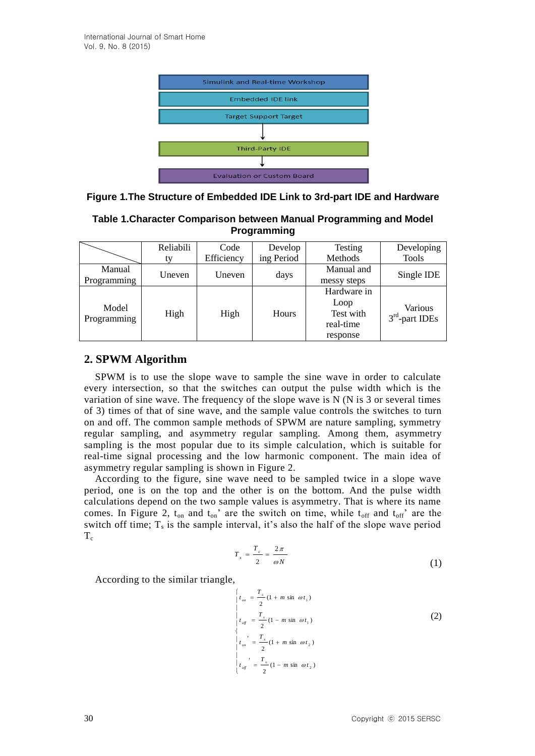

| Table 1.Character Comparison between Manual Programming and Model |  |
|-------------------------------------------------------------------|--|
| <b>Programming</b>                                                |  |

|             | Reliabili                | Code       | Develop    | Testing     | Developing       |  |
|-------------|--------------------------|------------|------------|-------------|------------------|--|
|             | ty                       | Efficiency | ing Period | Methods     | <b>Tools</b>     |  |
| Manual      | Uneven<br>Uneven<br>days |            | Manual and | Single IDE  |                  |  |
| Programming |                          |            |            | messy steps |                  |  |
| Model       |                          |            |            | Hardware in |                  |  |
|             |                          |            |            | Loop        | <b>Various</b>   |  |
| Programming | High                     | High       | Hours      | Test with   | $3rd$ -part IDEs |  |
|             |                          |            |            | real-time   |                  |  |
|             |                          |            |            | response    |                  |  |

# **2. SPWM Algorithm**

SPWM is to use the slope wave to sample the sine wave in order to calculate every intersection, so that the switches can output the pulse width which is the variation of sine wave. The frequency of the slope wave is  $N(N \text{ is } 3 \text{ or several times})$ of 3) times of that of sine wave, and the sample value controls the switches to turn on and off. The common sample methods of SPWM are nature sampling, symmetry regular sampling, and asymmetry regular sampling. Among them, asymmetry sampling is the most popular due to its simple calculation, which is suitable for real-time signal processing and the low harmonic component. The main idea of asymmetry regular sampling is shown in Figure 2.

According to the figure, sine wave need to be sampled twice in a slope wave period, one is on the top and the other is on the bottom. And the pulse width calculations depend on the two sample values is asymmetry. That is where its name comes. In Figure 2,  $t_{on}$  and  $t_{on}$ ' are the switch on time, while  $t_{off}$  and  $t_{off}$ ' are the switch off time;  $T_s$  is the sample interval, it's also the half of the slope wave period  $T_c$ 

$$
T_s = \frac{T_c}{2} = \frac{2\pi}{\omega N} \tag{1}
$$

According to the similar triangle,

$$
\begin{cases}\n t_{on} = \frac{T_s}{2} (1 + m \sin \omega t_1) \\
t_{off} = \frac{T_s}{2} (1 - m \sin \omega t_1) \\
t_{on} = \frac{T_s}{2} (1 + m \sin \omega t_2) \\
t_{on} = \frac{T_s}{2} (1 + m \sin \omega t_2)\n\end{cases}
$$
\n(2)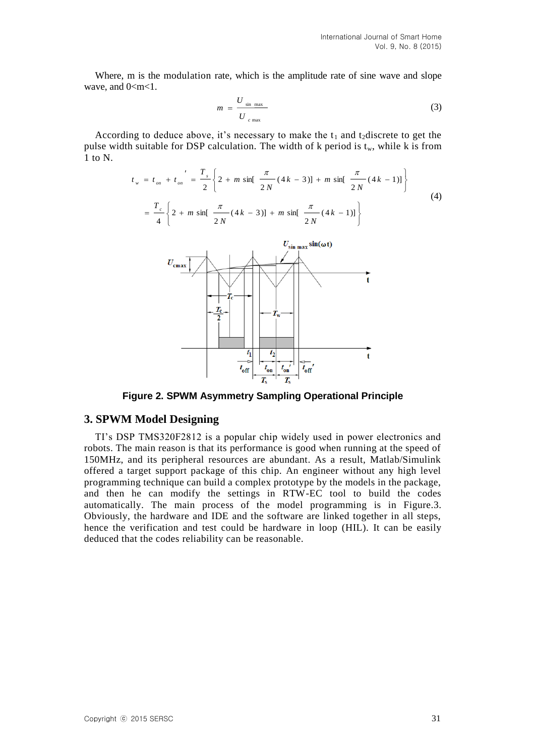Where, m is the modulation rate, which is the amplitude rate of sine wave and slope wave, and  $0 < m < 1$ .

$$
m = \frac{U_{\text{sin max}}}{U_{\text{c max}}} \tag{3}
$$

According to deduce above, it's necessary to make the  $t_1$  and  $t_2$  discrete to get the pulse width suitable for DSP calculation. The width of  $k$  period is  $t_w$ , while  $k$  is from 1 to N.

$$
t_w = t_{on} + t_{on} = \frac{T_s}{2} \left\{ 2 + m \sin\left[\frac{\pi}{2N} (4k - 3)\right] + m \sin\left[\frac{\pi}{2N} (4k - 1)\right] \right\}
$$
(4)  

$$
= \frac{T_c}{4} \left\{ 2 + m \sin\left[\frac{\pi}{2N} (4k - 3)\right] + m \sin\left[\frac{\pi}{2N} (4k - 1)\right] \right\}
$$
(4)  

$$
U_{\text{cmax}} \left\{ \frac{U_{\text{sin max}} \sin(\omega t)}{T_c + T_w} \right\}
$$
(4)  

$$
U_{\text{cmax}} \left\{ \frac{T_c}{T_c + T_w} \right\}
$$
(5)

**Figure 2. SPWM Asymmetry Sampling Operational Principle**

#### **3. SPWM Model Designing**

TI's DSP TMS320F2812 is a popular chip widely used in power electronics and robots. The main reason is that its performance is good when running at the speed of 150MHz, and its peripheral resources are abundant. As a result, Matlab/Simulink offered a target support package of this chip. An engineer without any high level programming technique can build a complex prototype by the models in the package, and then he can modify the settings in RTW-EC tool to build the codes automatically. The main process of the model programming is in Figure.3. Obviously, the hardware and IDE and the software are linked together in all steps, hence the verification and test could be hardware in loop (HIL). It can be easily deduced that the codes reliability can be reasonable.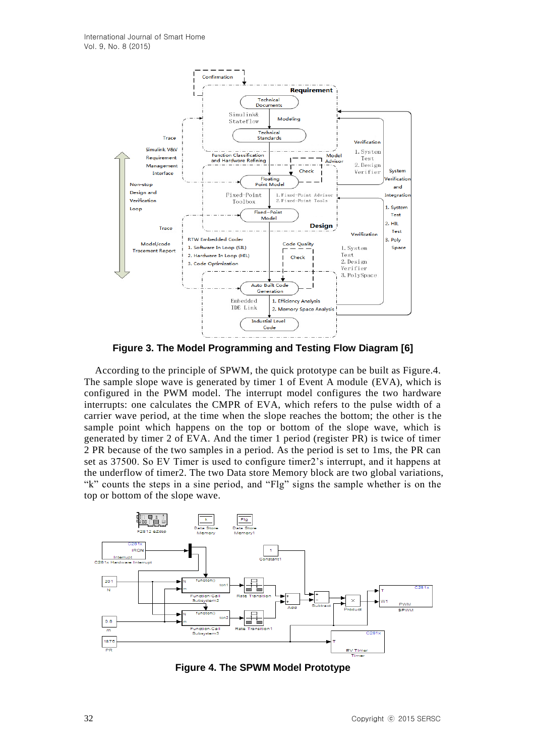

**Figure 3. The Model Programming and Testing Flow Diagram [\[6\]](Module#_ENREF_6)**

According to the principle of SPWM, the quick prototype can be built as Figure.4. The sample slope wave is generated by timer 1 of Event A module (EVA), which is configured in the PWM model. The interrupt model configures the two hardware interrupts: one calculates the CMPR of EVA, which refers to the pulse width of a carrier wave period, at the time when the slope reaches the bottom; the other is t he sample point which happens on the top or bottom of the slope wave, which is generated by timer 2 of EVA. And the timer 1 period (register PR) is twice of timer 2 PR because of the two samples in a period. As the period is set to 1ms, the PR can set as 37500. So EV Timer is used to configure timer2's interrupt, and it happens at the underflow of timer2. The two Data store Memory block are two global variations, "k" counts the steps in a sine period, and "Flg" signs the sample whether is on the top or bottom of the slope wave.



**Figure 4. The SPWM Model Prototype**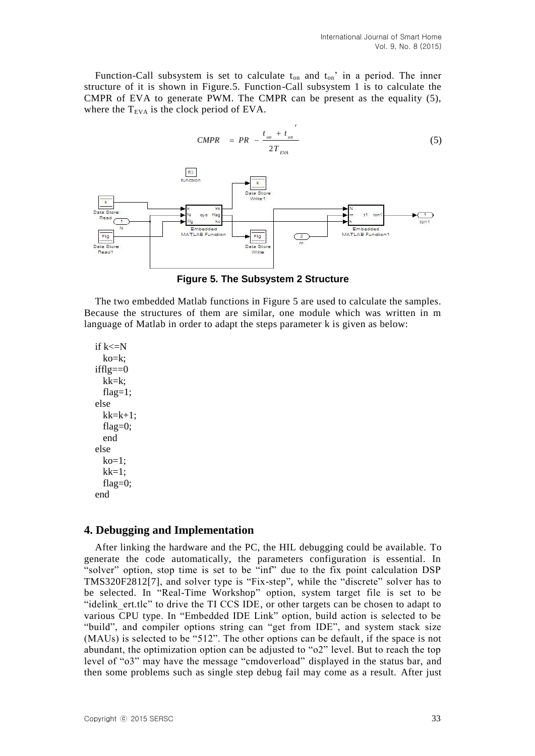Function-Call subsystem is set to calculate  $t_{on}$  and  $t_{on}$ ' in a period. The inner structure of it is shown in Figure.5. Function-Call subsystem 1 is to calculate the CMPR of EVA to generate PWM. The CMPR can be present as the equality (5), where the  $T_{EVA}$  is the clock period of EVA.

*on on*

 $t_{\alpha}$  +  $t$ 



**Figure 5. The Subsystem 2 Structure**

The two embedded Matlab functions in Figure 5 are used to calculate the samples. Because the structures of them are similar, one module which was written in m language of Matlab in order to adapt the steps parameter k is given as below:

if  $k\leq N$ ko=k;  $ifflg == 0$  $kk=k$ : flag= $1$ ; else  $kk=k+1$ ; flag=0; end else  $ko=1$ ;  $kk=1$ ; flag $=0$ ; end

### **4. Debugging and Implementation**

After linking the hardware and the PC, the HIL debugging could be available. To generate the code automatically, the parameters configuration is essential. In "solver" option, stop time is set to be "inf" due to the fix point calculation DSP TMS320F2812[\[7\]](TMS320X281X#_ENREF_7), and solver type is "Fix-step", while the "discrete" solver has to be selected. In "Real-Time Workshop" option, system target file is set to be "idelink ert.tlc" to drive the TI CCS IDE, or other targets can be chosen to adapt to various CPU type. In "Embedded IDE Link" option, build action is selected to be "build", and compiler options string can "get from IDE", and system stack size (MAUs) is selected to be "512". The other options can be default, if the space is not abundant, the optimization option can be adjusted to "o2" level. But to reach the top level of "o3" may have the message "cmdoverload" displayed in the status bar, and then some problems such as single step debug fail may come as a result. After just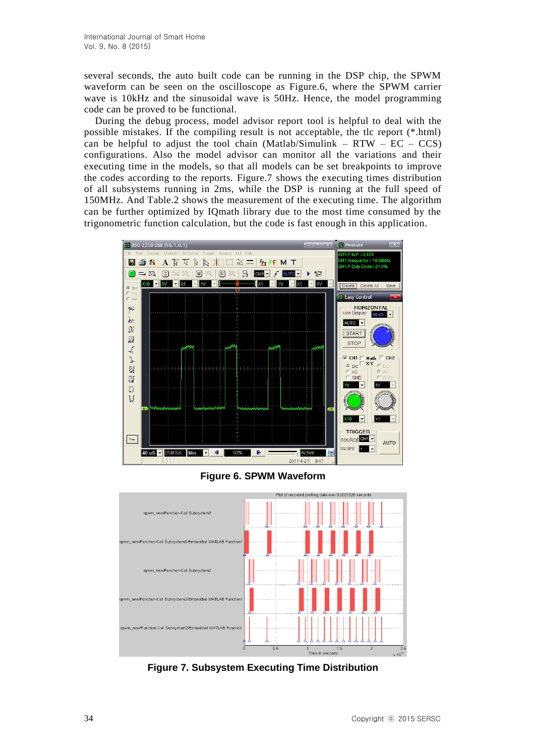several seconds, the auto built code can be running in the DSP chip, the SPWM waveform can be seen on the oscilloscope as Figure.6, where the SPWM carrier wave is 10kHz and the sinusoidal wave is 50Hz. Hence, the model programming code can be proved to be functional.

During the debug process, model advisor report tool is helpful to deal with the possible mistakes. If the compiling result is not acceptable, the tlc report (\*.html) can be helpful to adjust the tool chain (Matlab/Simulink – RTW –  $EC - CCS$ ) configurations. Also the model advisor can monitor all the variations and their executing time in the models, so that all models can be set breakpoints to improve the codes according to the reports. Figure.7 shows the executing times distribution of all subsystems running in 2ms, while the DSP is running at the full speed of 150MHz. And Table.2 shows the measurement of the executing time. The algorithm can be further optimized by IQmath library due to the most time consumed by the trigonometric function calculation, but the code is fast enough in this application.



**Figure 6. SPWM Waveform**



**Figure 7. Subsystem Executing Time Distribution**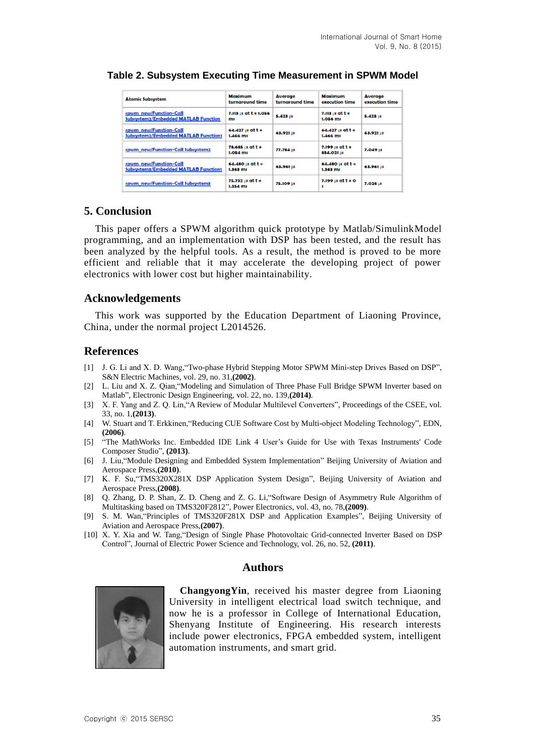| <b>Atomic Subsystem</b>                                               | Maximum<br>turnaround time          | <b>Average</b><br>turnaround time | Maximum<br>execution time         | <b>Average</b><br>execution time |
|-----------------------------------------------------------------------|-------------------------------------|-----------------------------------|-----------------------------------|----------------------------------|
| spwm new/Function-Call<br>Subsystem2/Embedded MATLAB Function         | $7.113$ µs at $t = 1.056$<br>ms     | 5.423 us                          | 7.113 $\mu$ s at t =<br>1.056 ms  | 5.423 us                         |
| spwm new/Function-Call<br><b>Subsystem2/Embedded MATLAB Function1</b> | 64.427 $\mu$ s at t $=$<br>1.466 ms | 63.921 US                         | 64.427 $\mu$ s at t =<br>1.466 ms | 63.921 US                        |
| spwm_new/Function-Call Subsystem2                                     | 78.685 us at t =<br>1.054 ms        | 77.784 US                         | $7.199$ µs at t =<br>854.021 US   | 7.049 us                         |
| spwm new/Function-Call<br>Subsystem3/Embedded MATLAB Function1        | 64.480 $\mu$ s at t =<br>1.363 ms   | 63.961 US                         | 64.480 $\mu$ s at t =<br>1.363 ms | 63.961 US                        |
| spwm_new/Function-Call Subsystem3                                     | 75.732 µs at t =<br>1.354 ms        | 75.109 us                         | $7.199$ µs at $t = 0$<br>s        | 7.028 us                         |

### **Table 2. Subsystem Executing Time Measurement in SPWM Model**

# **5. Conclusion**

This paper offers a SPWM algorithm quick prototype by Matlab/SimulinkModel programming, and an implementation with DSP has been tested, and the result has been analyzed by the helpful tools. As a result, the method is proved to be more efficient and reliable that it may accelerate the developing project of power electronics with lower cost but higher maintainability.

### **Acknowledgements**

This work was supported by the Education Department of Liaoning Province, China, under the normal project L2014526.

# **References**

- [1] J. G. Li and X. D. Wang,"Two-phase Hybrid Stepping Motor SPWM Mini-step Drives Based on DSP", S&N Electric Machines, vol. 29, no. 31,**(2002)**.
- [2] L. Liu and X. Z. Qian,"Modeling and Simulation of Three Phase Full Bridge SPWM Inverter based on Matlab", Electronic Design Engineering, vol. 22, no. 139,**(2014)**.
- [3] X. F. Yang and Z. Q. Lin,"A Review of Modular Multilevel Converters", Proceedings of the CSEE, vol. 33, no. 1,**(2013)**.
- [4] W. Stuart and T. Erkkinen,"Reducing CUE Software Cost by Multi-object Modeling Technology", EDN, **(2006)**.
- [5] "The MathWorks Inc. Embedded IDE Link 4 User's Guide for Use with Texas Instruments' Code Composer Studio", **(2013)**.
- [6] J. Liu,"Module Designing and Embedded System Implementation" Beijing University of Aviation and Aerospace Press,**(2010)**.
- [7] K. F. Su,"TMS320X281X DSP Application System Design", Beijing University of Aviation and Aerospace Press,**(2008)**.
- [8] Q. Zhang, D. P. Shan, Z. D. Cheng and Z. G. Li,"Software Design of Asymmetry Rule Algorithm of Multitasking based on TMS320F2812", Power Electronics, vol. 43, no. 78,**(2009)**.
- [9] S. M. Wan,"Principles of TMS320F281X DSP and Application Examples", Beijing University of Aviation and Aerospace Press,**(2007)**.
- [10] X. Y. Xia and W. Tang,"Design of Single Phase Photovoltaic Grid-connected Inverter Based on DSP Control", Journal of Electric Power Science and Technology, vol. 26, no. 52, **(2011)**.

### **Authors**



**ChangyongYin**, received his master degree from Liaoning University in intelligent electrical load switch technique, and now he is a professor in College of International Education, Shenyang Institute of Engineering. His research interests include power electronics, FPGA embedded system, intelligent automation instruments, and smart grid.